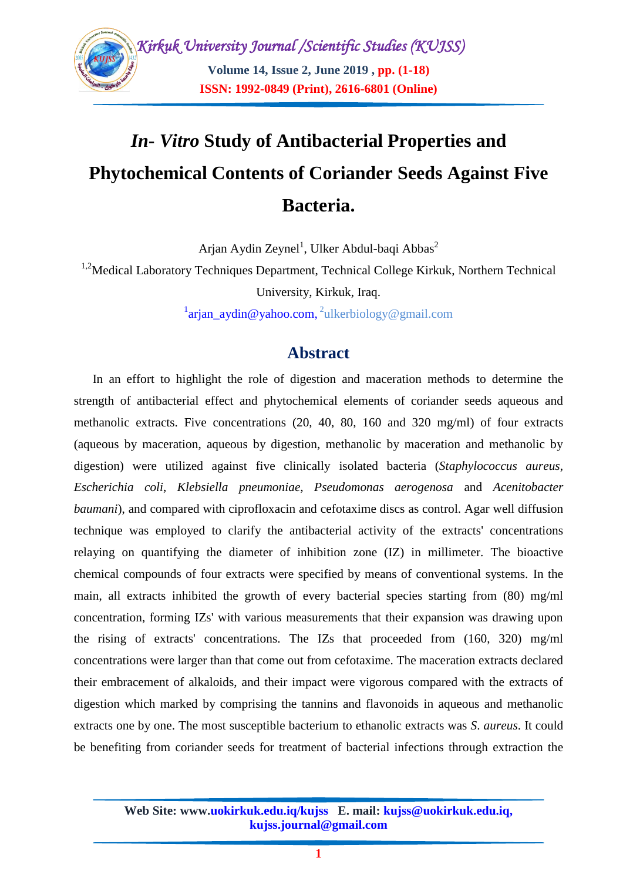

# *In***-** *Vitro* **Study of Antibacterial Properties and Phytochemical Contents of Coriander Seeds Against Five Bacteria.**

Arjan Aydin Zeynel<sup>1</sup>, Ulker Abdul-baqi Abbas<sup>2</sup>

<sup>1,2</sup>Medical Laboratory Techniques Department, Technical College Kirkuk, Northern Technical

University, Kirkuk, Iraq.

<sup>1</sup>[arjan\\_aydin@yahoo.com,](mailto:arjan_aydin@yahoo.com)<sup>2</sup>ulkerbiology@gmail.com

# **Abstract**

In an effort to highlight the role of digestion and maceration methods to determine the strength of antibacterial effect and phytochemical elements of coriander seeds aqueous and methanolic extracts. Five concentrations (20, 40, 80, 160 and 320 mg/ml) of four extracts (aqueous by maceration, aqueous by digestion, methanolic by maceration and methanolic by digestion) were utilized against five clinically isolated bacteria (*Staphylococcus aureus*, *Escherichia coli*, *Klebsiella pneumoniae*, *Pseudomonas aerogenosa* and *Acenitobacter baumani*), and compared with ciprofloxacin and cefotaxime discs as control. Agar well diffusion technique was employed to clarify the antibacterial activity of the extracts' concentrations relaying on quantifying the diameter of inhibition zone (IZ) in millimeter. The bioactive chemical compounds of four extracts were specified by means of conventional systems. In the main, all extracts inhibited the growth of every bacterial species starting from (80) mg/ml concentration, forming IZs' with various measurements that their expansion was drawing upon the rising of extracts' concentrations. The IZs that proceeded from (160, 320) mg/ml concentrations were larger than that come out from cefotaxime. The maceration extracts declared their embracement of alkaloids, and their impact were vigorous compared with the extracts of digestion which marked by comprising the tannins and flavonoids in aqueous and methanolic extracts one by one. The most susceptible bacterium to ethanolic extracts was *S*. *aureus*. It could be benefiting from coriander seeds for treatment of bacterial infections through extraction the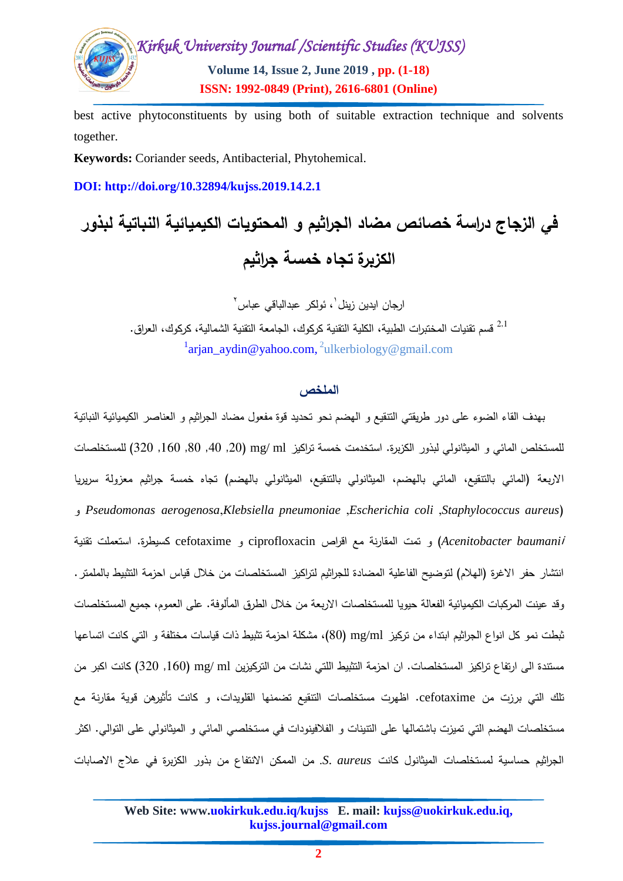

best active phytoconstituents by using both of suitable extraction technique and solvents together.

**Keywords:** Coriander seeds, Antibacterial, Phytohemical.

**DOI: http://doi.org/10.32894/kujss.2019.14.2.1**

**في الزجاج دراسة خصائص مضاد الجراثيم و المحتويات الكيميائية النباتية لبذور الكزبرة تجاه خمسة جراثيم**

> ارجان ايدين زينل`، ئولكر عبدالباقي عباس<sup>٬</sup> قسم تقنيات المختبرات الطبية، الكلية التقنية كركوك، الجامعة التقنية الشمالية، كركوك، العراق.  $^{2,1}\,$ <sup>1</sup>[arjan\\_aydin@yahoo.com,](mailto:arjan_aydin@yahoo.com)<sup>2</sup>ulkerbiology@gmail.com

## ا**لملخص** ،

بهدف القاء الضوء عمى دور طريقتي التنقيع و الهضم نحو تحديد قوة مفعول مضاد الجراثيم و العناصر الكيميائية النباتية للمستخلص المائي و الميثانولي لبذور الكزبرة. استخدمت خمسة تراكيز mg/ ml (20, 00, 00, 00, 320) للمستخلصات الاربعة (المائي بالتنقيع، المائي بالهضم، الميثانولي بالتنقيع، الميثانولي بالهضم) تجاه خمسة جراثيم معزولة سريريا و *Pseudomonas aerogenosa*,*Klebsiella pneumoniae* ,*Escherichia coli* ,*Staphylococcus aureus*( *baumani*<sup>i</sup> *Acenitobacter* )و تمت المقارنة مع اقراص ciprofloxacin و cefotaxime كسيطرة. استعممت تقنية انتشار حفر الاغرة (الهلام) لتوضيح الفاعلية المضادة للجراثيم لتراكيز المستخلصات من خلال قياس احزمة التثبيط بالملمتر . وقد عينت المركبات الكيميائية الفعالة حيويا للمستخلصات الاربعة من خلال الطرق المألوفة. على العموم، جميع المستخلصات ثبطت نمو كل انواع الجراثيم ابتداء من تركيز ml/mg) 02(، مشكمة احزمة تثبيط ذات قياسات مختمفة و التي كانت اتساعها مستندة الى ارتفاع تراكيز المستخلصات. ان احزمة التثبيط اللتي نشات من التركيزين mg/ ml (320 ,160 كانت اكبر من تلك التي برزت من cefotaxime. اظهرت مستخلصات التنقيع تضمنها القلويدات، و كانت تأثيرهن قوية مقارنة مع مستخمصات الهضم التي تميزت باشتمالها عمى التنينات و الفالفينودات في مستخمصي المائي و الميثانولي عمى التوالي. اكثر الجراثيم حساسية لمستخمصات الميثانول كانت *aureus* .*S*. من الممكن االنتفاع من بذور الكزبرة في عالج االصابات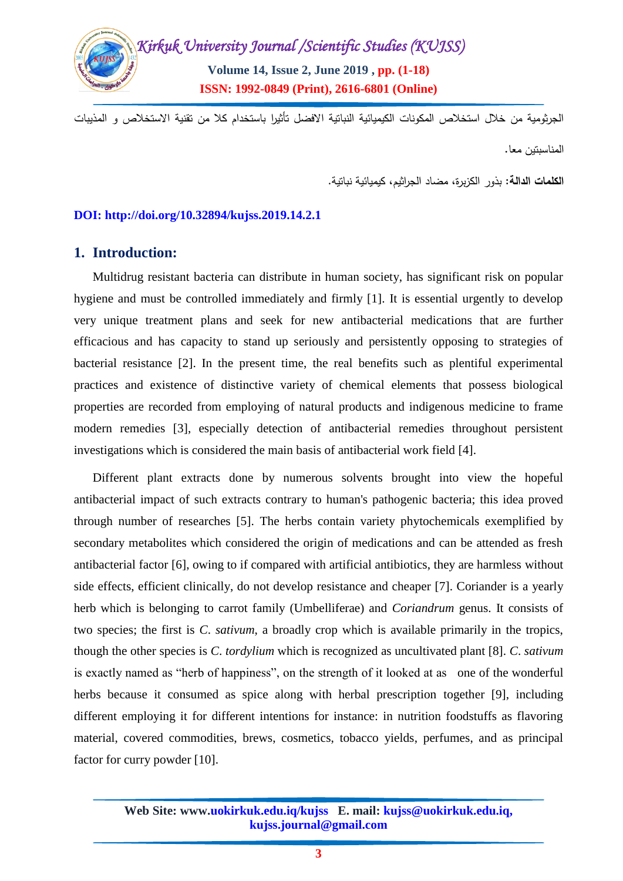

الجرثومية من خالل استخالص المكونات الكيميائية النباتية االفضل تأثيرا باستخدام كال من تقنية االستخالص و المذيبات المناسبتين معا.

**الكممات الدالة**: بذور الكزبرة، مضاد الجراثيم، كيميائية نباتية.

#### **DOI: http://doi.org/10.32894/kujss.2019.14.2.1**

# **1. Introduction:**

Multidrug resistant bacteria can distribute in human society, has significant risk on popular hygiene and must be controlled immediately and firmly [1]. It is essential urgently to develop very unique treatment plans and seek for new antibacterial medications that are further efficacious and has capacity to stand up seriously and persistently opposing to strategies of bacterial resistance [2]. In the present time, the real benefits such as plentiful experimental practices and existence of distinctive variety of chemical elements that possess biological properties are recorded from employing of natural products and indigenous medicine to frame modern remedies [3], especially detection of antibacterial remedies throughout persistent investigations which is considered the main basis of antibacterial work field [4].

Different plant extracts done by numerous solvents brought into view the hopeful antibacterial impact of such extracts contrary to human's pathogenic bacteria; this idea proved through number of researches [5]. The herbs contain variety phytochemicals exemplified by secondary metabolites which considered the origin of medications and can be attended as fresh antibacterial factor [6], owing to if compared with artificial antibiotics, they are harmless without side effects, efficient clinically, do not develop resistance and cheaper [7]. Coriander is a yearly herb which is belonging to carrot family (Umbelliferae) and *Coriandrum* genus. It consists of two species; the first is *C*. *sativum*, a broadly crop which is available primarily in the tropics, though the other species is *C*. *tordylium* which is recognized as uncultivated plant [8]. *C*. *sativum* is exactly named as "herb of happiness", on the strength of it looked at as one of the wonderful herbs because it consumed as spice along with herbal prescription together [9], including different employing it for different intentions for instance: in nutrition foodstuffs as flavoring material, covered commodities, brews, cosmetics, tobacco yields, perfumes, and as principal factor for curry powder [10].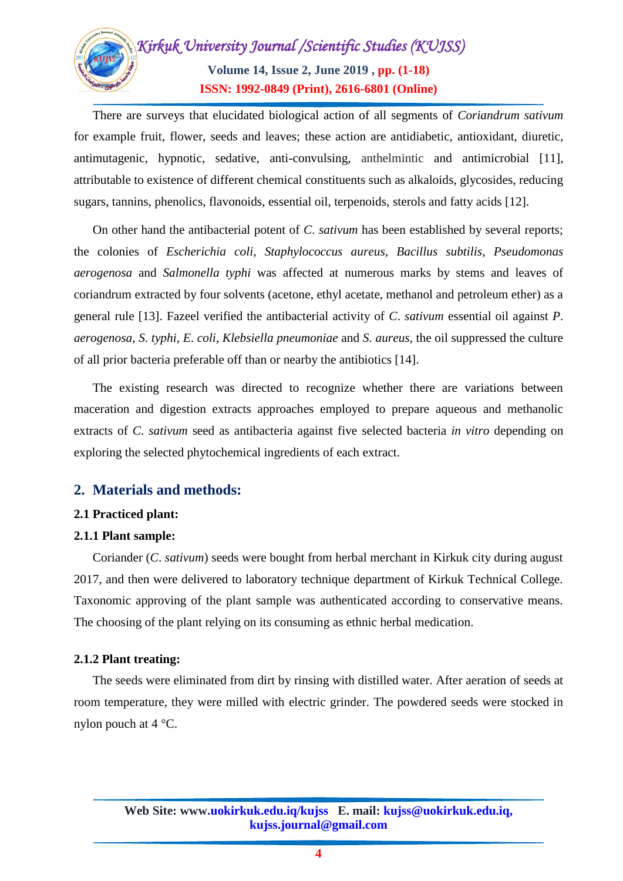

There are surveys that elucidated biological action of all segments of *Coriandrum sativum* for example fruit, flower, seeds and leaves; these action are antidiabetic, antioxidant, diuretic, antimutagenic, hypnotic, sedative, anti-convulsing, anthelmintic and antimicrobial [11], attributable to existence of different chemical constituents such as alkaloids, glycosides, reducing sugars, tannins, phenolics, flavonoids, essential oil, terpenoids, sterols and fatty acids [12].

On other hand the antibacterial potent of *C*. *sativum* has been established by several reports; the colonies of *Escherichia coli*, *Staphylococcus aureus*, *Bacillus subtilis*, *Pseudomonas aerogenosa* and *Salmonella typhi* was affected at numerous marks by stems and leaves of coriandrum extracted by four solvents (acetone, ethyl acetate, methanol and petroleum ether) as a general rule [13]. Fazeel verified the antibacterial activity of *C*. *sativum* essential oil against *P*. *aerogenosa*, *S*. *typhi*, *E*. *coli*, *Klebsiella pneumoniae* and *S*. *aureus*, the oil suppressed the culture of all prior bacteria preferable off than or nearby the antibiotics [14].

The existing research was directed to recognize whether there are variations between maceration and digestion extracts approaches employed to prepare aqueous and methanolic extracts of *C*. *sativum* seed as antibacteria against five selected bacteria *in vitro* depending on exploring the selected phytochemical ingredients of each extract.

# **2. Materials and methods:**

#### **2.1 Practiced plant:**

# **2.1.1 Plant sample:**

Coriander (*C*. *sativum*) seeds were bought from herbal merchant in Kirkuk city during august 2017, and then were delivered to laboratory technique department of Kirkuk Technical College. Taxonomic approving of the plant sample was authenticated according to conservative means. The choosing of the plant relying on its consuming as ethnic herbal medication.

#### **2.1.2 Plant treating:**

The seeds were eliminated from dirt by rinsing with distilled water. After aeration of seeds at room temperature, they were milled with electric grinder. The powdered seeds were stocked in nylon pouch at 4 °C.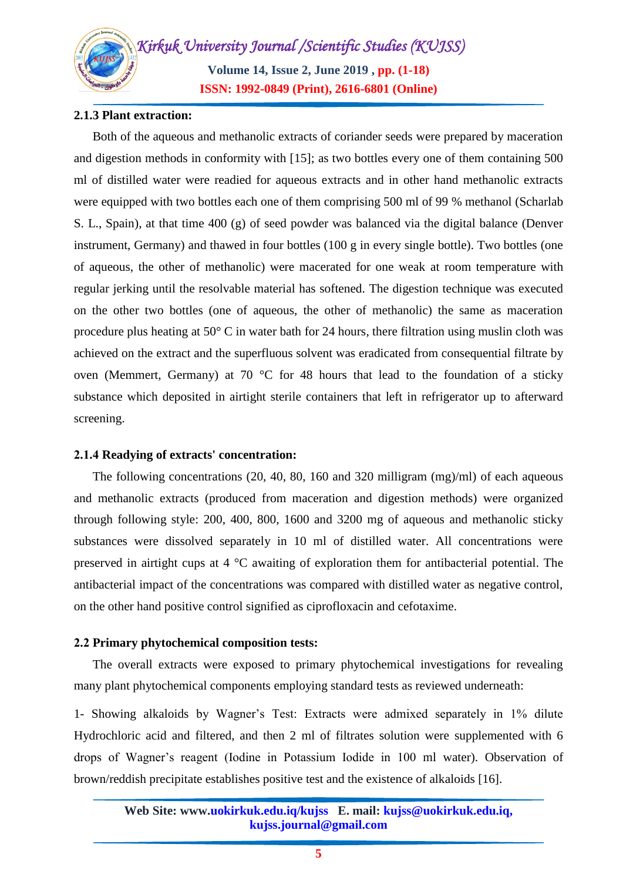*Kirkuk University Journal /Scientific Studies (KUJSS)*  **Volume 14, Issue 2, June 2019 , pp. (1-18) ISSN: 1992-0849 (Print), 2616-6801 (Online)**

#### **2.1.3 Plant extraction:**

Both of the aqueous and methanolic extracts of coriander seeds were prepared by maceration and digestion methods in conformity with [15]; as two bottles every one of them containing 500 ml of distilled water were readied for aqueous extracts and in other hand methanolic extracts were equipped with two bottles each one of them comprising 500 ml of 99 % methanol (Scharlab S. L., Spain), at that time 400 (g) of seed powder was balanced via the digital balance (Denver instrument, Germany) and thawed in four bottles (100 g in every single bottle). Two bottles (one of aqueous, the other of methanolic) were macerated for one weak at room temperature with regular jerking until the resolvable material has softened. The digestion technique was executed on the other two bottles (one of aqueous, the other of methanolic) the same as maceration procedure plus heating at 50° C in water bath for 24 hours, there filtration using muslin cloth was achieved on the extract and the superfluous solvent was eradicated from consequential filtrate by oven (Memmert, Germany) at 70 °C for 48 hours that lead to the foundation of a sticky substance which deposited in airtight sterile containers that left in refrigerator up to afterward screening.

#### **4.1.2 Readying of extracts' concentration:**

The following concentrations (20, 40, 80, 160 and 320 milligram (mg)/ml) of each aqueous and methanolic extracts (produced from maceration and digestion methods) were organized through following style: 200, 400, 800, 1600 and 3200 mg of aqueous and methanolic sticky substances were dissolved separately in 10 ml of distilled water. All concentrations were preserved in airtight cups at 4 °C awaiting of exploration them for antibacterial potential. The antibacterial impact of the concentrations was compared with distilled water as negative control, on the other hand positive control signified as ciprofloxacin and cefotaxime.

#### **4.4 Primary phytochemical composition tests:**

The overall extracts were exposed to primary phytochemical investigations for revealing many plant phytochemical components employing standard tests as reviewed underneath:

1- Showing alkaloids by Wagner's Test: Extracts were admixed separately in 1% dilute Hydrochloric acid and filtered, and then 2 ml of filtrates solution were supplemented with 6 drops of Wagner's reagent (Iodine in Potassium Iodide in 100 ml water). Observation of brown/reddish precipitate establishes positive test and the existence of alkaloids [16].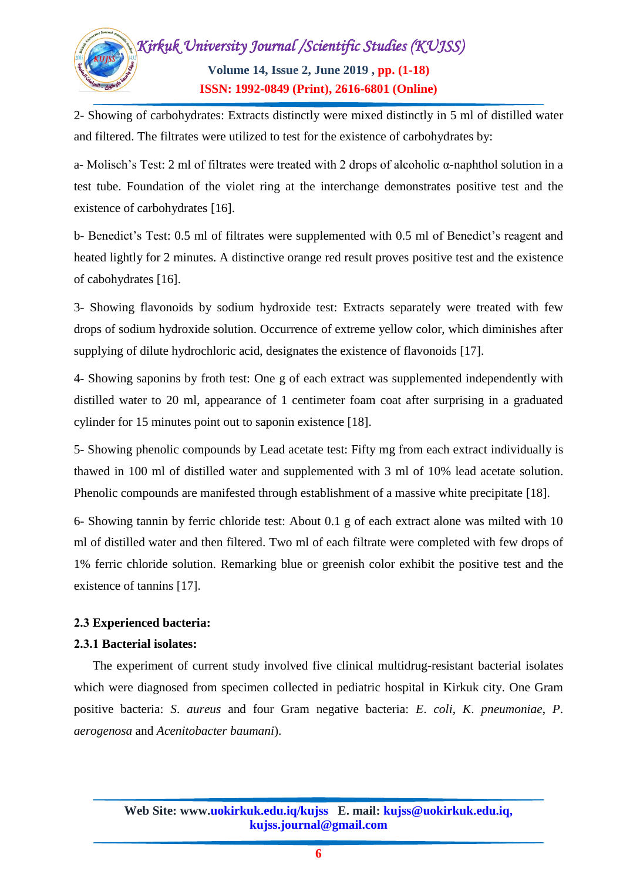

2- Showing of carbohydrates: Extracts distinctly were mixed distinctly in 5 ml of distilled water and filtered. The filtrates were utilized to test for the existence of carbohydrates by:

a- Molisch's Test: 2 ml of filtrates were treated with 2 drops of alcoholic α-naphthol solution in a test tube. Foundation of the violet ring at the interchange demonstrates positive test and the existence of carbohydrates [16].

b- Benedict's Test: 0.5 ml of filtrates were supplemented with 0.5 ml of Benedict's reagent and heated lightly for 2 minutes. A distinctive orange red result proves positive test and the existence of cabohydrates [16].

3- Showing flavonoids by sodium hydroxide test: Extracts separately were treated with few drops of sodium hydroxide solution. Occurrence of extreme yellow color, which diminishes after supplying of dilute hydrochloric acid, designates the existence of flavonoids [17].

4- Showing saponins by froth test: One g of each extract was supplemented independently with distilled water to 20 ml, appearance of 1 centimeter foam coat after surprising in a graduated cylinder for 15 minutes point out to saponin existence [18].

5- Showing phenolic compounds by Lead acetate test: Fifty mg from each extract individually is thawed in 100 ml of distilled water and supplemented with 3 ml of 10% lead acetate solution. Phenolic compounds are manifested through establishment of a massive white precipitate [18].

6- Showing tannin by ferric chloride test: About 0.1 g of each extract alone was milted with 10 ml of distilled water and then filtered. Two ml of each filtrate were completed with few drops of 1% ferric chloride solution. Remarking blue or greenish color exhibit the positive test and the existence of tannins [17].

# **4.2 Experienced bacteria:**

#### **4.2.1 Bacterial isolates:**

The experiment of current study involved five clinical multidrug-resistant bacterial isolates which were diagnosed from specimen collected in pediatric hospital in Kirkuk city. One Gram positive bacteria: *S*. *aureus* and four Gram negative bacteria: *E*. *coli*, *K*. *pneumoniae*, *P*. *aerogenosa* and *Acenitobacter baumani*).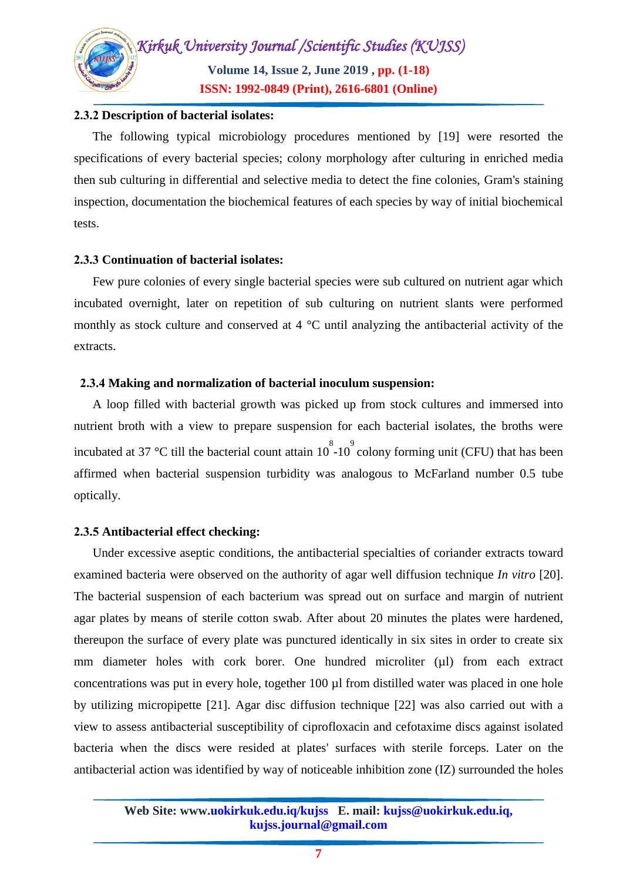

#### **4.2.4 Description of bacterial isolates:**

The following typical microbiology procedures mentioned by [19] were resorted the specifications of every bacterial species; colony morphology after culturing in enriched media then sub culturing in differential and selective media to detect the fine colonies, Gram's staining inspection, documentation the biochemical features of each species by way of initial biochemical tests.

#### **4.2.2 Continuation of bacterial isolates:**

Few pure colonies of every single bacterial species were sub cultured on nutrient agar which incubated overnight, later on repetition of sub culturing on nutrient slants were performed monthly as stock culture and conserved at 4 °C until analyzing the antibacterial activity of the extracts.

#### **4.2.2 Making and normalization of bacterial inoculum suspension:**

A loop filled with bacterial growth was picked up from stock cultures and immersed into nutrient broth with a view to prepare suspension for each bacterial isolates, the broths were incubated at 37 °C till the bacterial count attain  $10^{8}$  -10<sup>°</sup> colony forming unit (CFU) that has been affirmed when bacterial suspension turbidity was analogous to McFarland number 0.5 tube optically.

#### **4.2.2 Antibacterial effect checking:**

Under excessive aseptic conditions, the antibacterial specialties of coriander extracts toward examined bacteria were observed on the authority of agar well diffusion technique *In vitro* [20]. The bacterial suspension of each bacterium was spread out on surface and margin of nutrient agar plates by means of sterile cotton swab. After about 20 minutes the plates were hardened, thereupon the surface of every plate was punctured identically in six sites in order to create six mm diameter holes with cork borer. One hundred microliter (µl) from each extract concentrations was put in every hole, together 100 µl from distilled water was placed in one hole by utilizing micropipette [21]. Agar disc diffusion technique [22] was also carried out with a view to assess antibacterial susceptibility of ciprofloxacin and cefotaxime discs against isolated bacteria when the discs were resided at plates' surfaces with sterile forceps. Later on the antibacterial action was identified by way of noticeable inhibition zone (IZ) surrounded the holes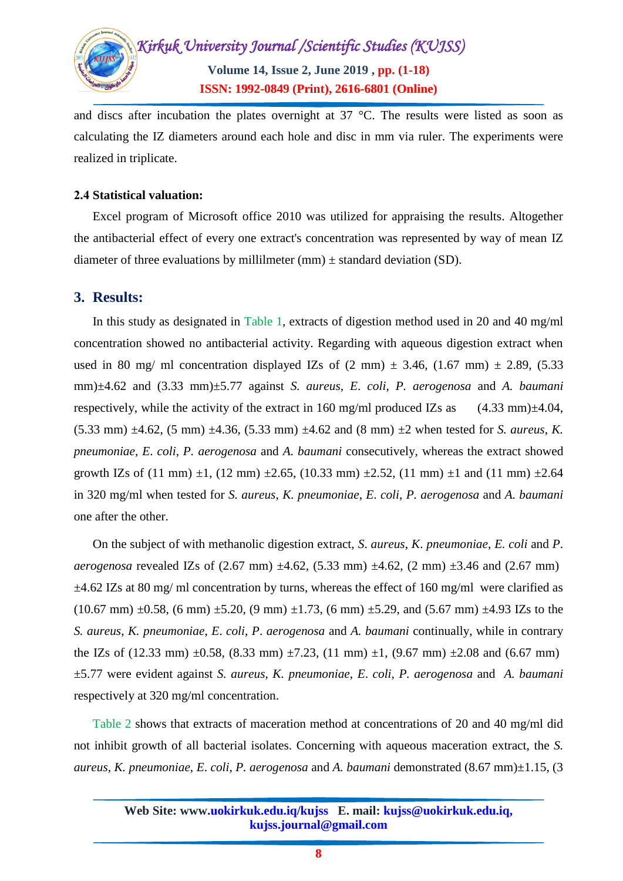

and discs after incubation the plates overnight at 37 °C. The results were listed as soon as calculating the IZ diameters around each hole and disc in mm via ruler. The experiments were realized in triplicate.

#### **4.2 Statistical valuation:**

Excel program of Microsoft office 2010 was utilized for appraising the results. Altogether the antibacterial effect of every one extract's concentration was represented by way of mean IZ diameter of three evaluations by millilmeter (mm)  $\pm$  standard deviation (SD).

## **3. Results:**

In this study as designated in Table 1, extracts of digestion method used in 20 and 40 mg/ml concentration showed no antibacterial activity. Regarding with aqueous digestion extract when used in 80 mg/ ml concentration displayed IZs of  $(2 \text{ mm}) \pm 3.46$ ,  $(1.67 \text{ mm}) \pm 2.89$ ,  $(5.33 \text{ mm})$ mm)±4.62 and (3.33 mm)±5.77 against *S. aureus, E*. *coli*, *P. aerogenosa* and *A. baumani* respectively, while the activity of the extract in 160 mg/ml produced IZs as  $(4.33 \text{ mm})\pm4.04$ ,  $(5.33 \text{ mm}) \pm 4.62$ ,  $(5 \text{ mm}) \pm 4.36$ ,  $(5.33 \text{ mm}) \pm 4.62$  and  $(8 \text{ mm}) \pm 2$  when tested for *S. aureus*, *K. pneumoniae*, *E*. *coli*, *P. aerogenosa* and *A. baumani* consecutively, whereas the extract showed growth IZs of (11 mm)  $\pm 1$ , (12 mm)  $\pm 2.65$ , (10.33 mm)  $\pm 2.52$ , (11 mm)  $\pm 1$  and (11 mm)  $\pm 2.64$ in 320 mg/ml when tested for *S. aureus*, *K. pneumoniae*, *E*. *coli*, *P. aerogenosa* and *A. baumani* one after the other.

On the subject of with methanolic digestion extract, *S*. *aureus*, *K*. *pneumoniae*, *E. coli* and *P*. *aerogenosa* revealed IZs of  $(2.67 \text{ mm}) \pm 4.62$ ,  $(5.33 \text{ mm}) \pm 4.62$ ,  $(2 \text{ mm}) \pm 3.46$  and  $(2.67 \text{ mm})$  $\pm$ 4.62 IZs at 80 mg/ ml concentration by turns, whereas the effect of 160 mg/ml were clarified as  $(10.67 \text{ mm}) \pm 0.58$ ,  $(6 \text{ mm}) \pm 5.20$ ,  $(9 \text{ mm}) \pm 1.73$ ,  $(6 \text{ mm}) \pm 5.29$ , and  $(5.67 \text{ mm}) \pm 4.93 \text{ IZs}$  to the *S. aureus*, *K. pneumoniae*, *E*. *coli*, *P*. *aerogenosa* and *A. baumani* continually, while in contrary the IZs of (12.33 mm)  $\pm$ 0.58, (8.33 mm)  $\pm$ 7.23, (11 mm)  $\pm$ 1, (9.67 mm)  $\pm$ 2.08 and (6.67 mm) ±5.77 were evident against *S. aureus*, *K. pneumoniae*, *E*. *coli*, *P. aerogenosa* and *A. baumani* respectively at 320 mg/ml concentration.

Table 2 shows that extracts of maceration method at concentrations of 20 and 40 mg/ml did not inhibit growth of all bacterial isolates. Concerning with aqueous maceration extract, the *S. aureus*, *K. pneumoniae*, *E*. *coli*, *P. aerogenosa* and *A. baumani* demonstrated (8.67 mm)±1.15, (3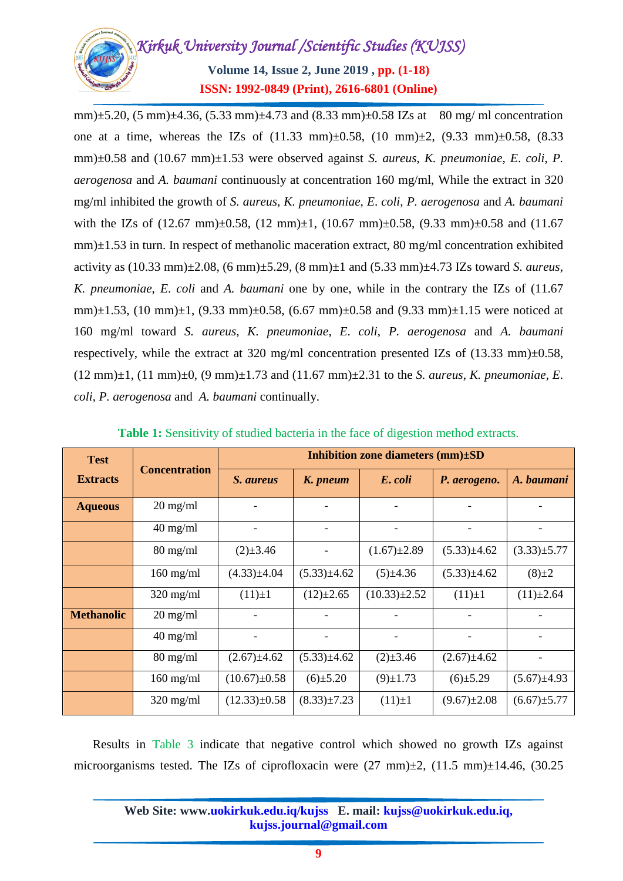

mm) $\pm$ 5.20, (5 mm) $\pm$ 4.36, (5.33 mm) $\pm$ 4.73 and (8.33 mm) $\pm$ 0.58 IZs at 80 mg/ ml concentration one at a time, whereas the IZs of  $(11.33 \text{ mm})\pm0.58$ ,  $(10 \text{ mm})\pm2$ ,  $(9.33 \text{ mm})\pm0.58$ ,  $(8.33 \text{ mm})\pm0.58$ mm)±0.58 and (10.67 mm)±1.53 were observed against *S. aureus*, *K. pneumoniae*, *E*. *coli*, *P. aerogenosa* and *A. baumani* continuously at concentration 160 mg/ml, While the extract in 320 mg/ml inhibited the growth of *S. aureus*, *K. pneumoniae*, *E*. *coli*, *P. aerogenosa* and *A. baumani* with the IZs of  $(12.67 \text{ mm})\pm0.58$ ,  $(12 \text{ mm})\pm1$ ,  $(10.67 \text{ mm})\pm0.58$ ,  $(9.33 \text{ mm})\pm0.58$  and  $(11.67 \text{ mm})\pm0.58$ mm)±1.53 in turn. In respect of methanolic maceration extract, 80 mg/ml concentration exhibited activity as (10.33 mm)±2.08, (6 mm)±5.29, (8 mm)±1 and (5.33 mm)±4.73 IZs toward *S. aureus*, *K. pneumoniae*, *E*. *coli* and *A. baumani* one by one, while in the contrary the IZs of (11.67 mm) $\pm$ 1.53, (10 mm) $\pm$ 1, (9.33 mm) $\pm$ 0.58, (6.67 mm) $\pm$ 0.58 and (9.33 mm) $\pm$ 1.15 were noticed at 160 mg/ml toward *S. aureus*, *K. pneumoniae*, *E*. *coli*, *P. aerogenosa* and *A. baumani* respectively, while the extract at 320 mg/ml concentration presented IZs of  $(13.33 \text{ mm})\pm0.58$ , (12 mm)±1, (11 mm)±0, (9 mm)±1.73 and (11.67 mm)±2.31 to the *S. aureus*, *K. pneumoniae*, *E*. *coli*, *P. aerogenosa* and *A. baumani* continually.

| <b>Test</b>       | <b>Concentration</b> | Inhibition zone diameters $(mm)\pm SD$ |                   |                    |                   |                   |
|-------------------|----------------------|----------------------------------------|-------------------|--------------------|-------------------|-------------------|
| <b>Extracts</b>   |                      | S. aureus                              | K. pneum          | E. coli            | P. aerogeno.      | A. baumani        |
| <b>Aqueous</b>    | $20 \text{ mg/ml}$   |                                        |                   |                    |                   |                   |
|                   | $40 \text{ mg/ml}$   |                                        |                   |                    |                   |                   |
|                   | $80 \text{ mg/ml}$   | $(2) \pm 3.46$                         |                   | $(1.67) \pm 2.89$  | $(5.33) \pm 4.62$ | $(3.33) \pm 5.77$ |
|                   | $160$ mg/ml          | $(4.33) \pm 4.04$                      | $(5.33) \pm 4.62$ | $(5) \pm 4.36$     | $(5.33) \pm 4.62$ | $(8) \pm 2$       |
|                   | $320$ mg/ml          | $(11)\pm 1$                            | $(12)\pm 2.65$    | $(10.33) \pm 2.52$ | $(11)\pm 1$       | $(11)\pm 2.64$    |
| <b>Methanolic</b> | $20 \text{ mg/ml}$   |                                        |                   |                    |                   |                   |
|                   | $40 \text{ mg/ml}$   |                                        |                   |                    |                   |                   |
|                   | $80 \text{ mg/ml}$   | $(2.67) \pm 4.62$                      | $(5.33) \pm 4.62$ | $(2) \pm 3.46$     | $(2.67) \pm 4.62$ |                   |
|                   | $160$ mg/ml          | $(10.67) \pm 0.58$                     | $(6) \pm 5.20$    | $(9) \pm 1.73$     | $(6) \pm 5.29$    | $(5.67) \pm 4.93$ |
|                   | $320$ mg/ml          | $(12.33) \pm 0.58$                     | $(8.33) \pm 7.23$ | $(11) \pm 1$       | $(9.67) \pm 2.08$ | $(6.67) \pm 5.77$ |

**Table 1:** Sensitivity of studied bacteria in the face of digestion method extracts.

Results in Table 3 indicate that negative control which showed no growth IZs against microorganisms tested. The IZs of ciprofloxacin were  $(27 \text{ mm})\pm 2$ ,  $(11.5 \text{ mm})\pm 14.46$ ,  $(30.25 \text{ mm})$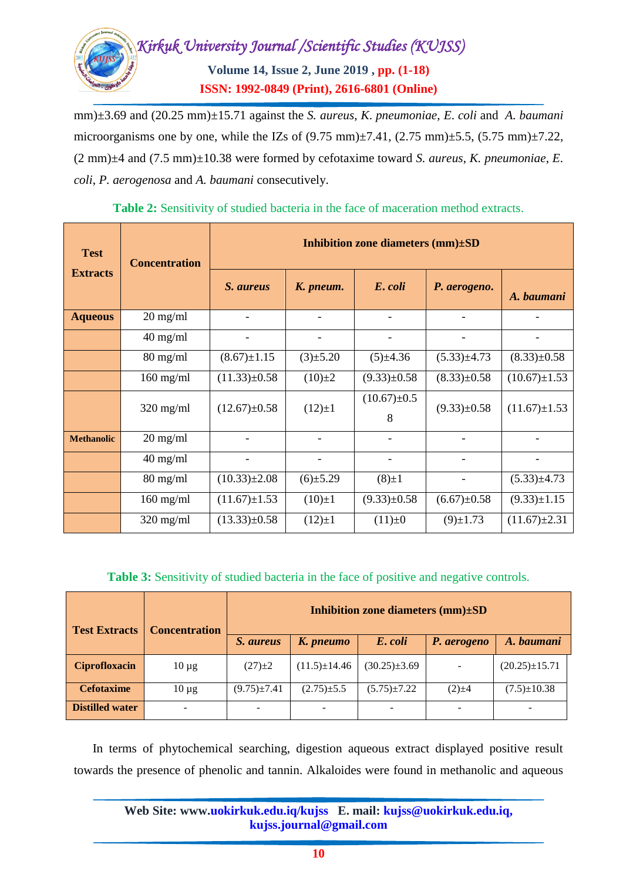

mm)±3.69 and (20.25 mm)±15.71 against the *S. aureus*, *K*. *pneumoniae*, *E*. *coli* and *A. baumani* microorganisms one by one, while the IZs of  $(9.75 \text{ mm})\pm7.41$ ,  $(2.75 \text{ mm})\pm5.5$ ,  $(5.75 \text{ mm})\pm7.22$ , (2 mm)±4 and (7.5 mm)±10.38 were formed by cefotaxime toward *S. aureus*, *K. pneumoniae*, *E*. *coli*, *P. aerogenosa* and *A. baumani* consecutively.

| <b>Test</b><br><b>Extracts</b> | <b>Concentration</b> | Inhibition zone diameters $(mm)\pm SD$ |                          |                   |                          |                    |  |
|--------------------------------|----------------------|----------------------------------------|--------------------------|-------------------|--------------------------|--------------------|--|
|                                |                      | S. aureus                              | K. pneum.                | E. coli           | P. aerogeno.             | A. baumani         |  |
| <b>Aqueous</b>                 | $20 \text{ mg/ml}$   |                                        |                          |                   |                          |                    |  |
|                                | $40$ mg/ml           |                                        |                          |                   |                          |                    |  |
|                                | $80 \text{ mg/ml}$   | $(8.67) \pm 1.15$                      | $(3) \pm 5.20$           | $(5) \pm 4.36$    | $(5.33) \pm 4.73$        | $(8.33) \pm 0.58$  |  |
|                                | $160$ mg/ml          | $(11.33) \pm 0.58$                     | $(10) \pm 2$             | $(9.33) \pm 0.58$ | $(8.33) \pm 0.58$        | $(10.67) \pm 1.53$ |  |
|                                | $320$ mg/ml          | $(12.67) \pm 0.58$                     | $(12) \pm 1$             | $(10.67) \pm 0.5$ | $(9.33) \pm 0.58$        | $(11.67) \pm 1.53$ |  |
|                                |                      |                                        |                          | 8                 |                          |                    |  |
| <b>Methanolic</b>              | $20 \text{ mg/ml}$   |                                        |                          |                   |                          |                    |  |
|                                | $40$ mg/ml           | $\overline{\phantom{a}}$               | $\overline{\phantom{a}}$ |                   | $\overline{\phantom{a}}$ |                    |  |
|                                | $80 \text{ mg/ml}$   | $(10.33) \pm 2.08$                     | $(6) \pm 5.29$           | $(8) \pm 1$       |                          | $(5.33) \pm 4.73$  |  |
|                                | $160$ mg/ml          | $(11.67) \pm 1.53$                     | $(10)\pm 1$              | $(9.33) \pm 0.58$ | $(6.67) \pm 0.58$        | $(9.33) \pm 1.15$  |  |
|                                | $320 \text{ mg/ml}$  | $(13.33)\pm0.58$                       | $(12) \pm 1$             | $(11) \pm 0$      | $(9) \pm 1.73$           | $(11.67) \pm 2.31$ |  |

**Table 2:** Sensitivity of studied bacteria in the face of maceration method extracts.

**Table 3:** Sensitivity of studied bacteria in the face of positive and negative controls.

| <b>Test Extracts</b>   | <b>Concentration</b> | Inhibition zone diameters $(mm) \pm SD$ |                              |                          |                          |                     |  |
|------------------------|----------------------|-----------------------------------------|------------------------------|--------------------------|--------------------------|---------------------|--|
|                        |                      | <i>S. aureus</i>                        | K. pneumo                    | E. coli                  | P. aerogeno              | A. baumani          |  |
| <b>Ciprofloxacin</b>   | $10 \mu g$           | $(27) \pm 2$                            | $(11.5) \pm 14.46$           | $(30.25)\pm3.69$         | $\overline{\phantom{a}}$ | $(20.25) \pm 15.71$ |  |
| <b>Cefotaxime</b>      | $10 \mu$ g           | $(9.75) \pm 7.41$                       | $(2.75) \pm 5.5$             | $(5.75) \pm 7.22$        | $(2) \pm 4$              | $(7.5) \pm 10.38$   |  |
| <b>Distilled water</b> |                      |                                         | $\qquad \qquad \blacksquare$ | $\overline{\phantom{a}}$ |                          |                     |  |

In terms of phytochemical searching, digestion aqueous extract displayed positive result towards the presence of phenolic and tannin. Alkaloides were found in methanolic and aqueous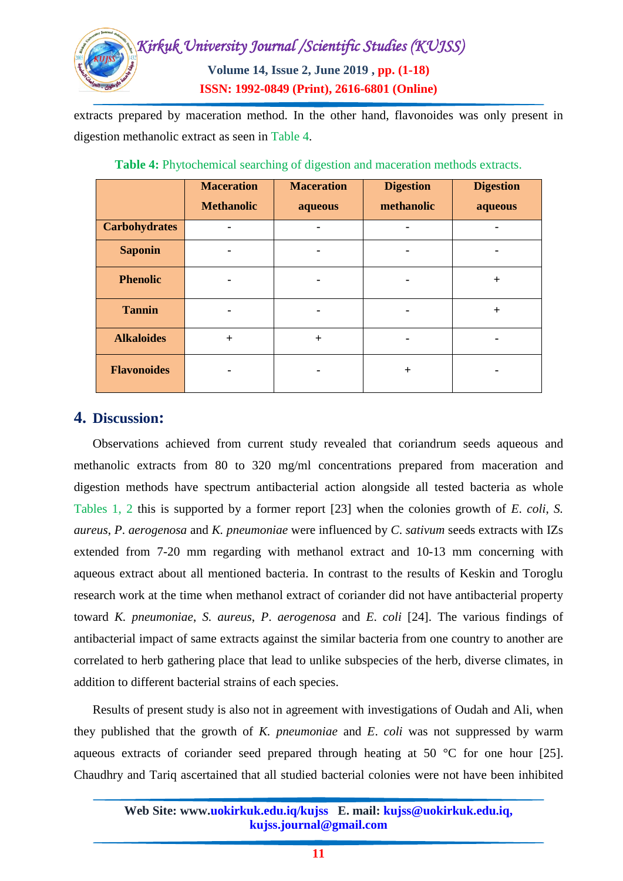

extracts prepared by maceration method. In the other hand, flavonoides was only present in digestion methanolic extract as seen in Table 4.

|                      | <b>Maceration</b><br><b>Methanolic</b> | <b>Maceration</b><br>aqueous | <b>Digestion</b><br>methanolic | <b>Digestion</b><br>aqueous |
|----------------------|----------------------------------------|------------------------------|--------------------------------|-----------------------------|
| <b>Carbohydrates</b> |                                        |                              |                                |                             |
| <b>Saponin</b>       |                                        |                              |                                |                             |
| <b>Phenolic</b>      |                                        |                              |                                | $+$                         |
| <b>Tannin</b>        |                                        | ۰                            | ٠                              | $+$                         |
| <b>Alkaloides</b>    | $^{+}$                                 | $+$                          |                                |                             |
| <b>Flavonoides</b>   | ۰                                      |                              | $^{+}$                         |                             |

**Table 4:** Phytochemical searching of digestion and maceration methods extracts.

# **4. Discussion:**

Observations achieved from current study revealed that coriandrum seeds aqueous and methanolic extracts from 80 to 320 mg/ml concentrations prepared from maceration and digestion methods have spectrum antibacterial action alongside all tested bacteria as whole Tables 1, 2 this is supported by a former report [23] when the colonies growth of *E*. *coli*, *S. aureus*, *P*. *aerogenosa* and *K. pneumoniae* were influenced by *C*. *sativum* seeds extracts with IZs extended from 7-20 mm regarding with methanol extract and 10-13 mm concerning with aqueous extract about all mentioned bacteria. In contrast to the results of Keskin and Toroglu research work at the time when methanol extract of coriander did not have antibacterial property toward *K. pneumoniae*, *S. aureus*, *P*. *aerogenosa* and *E*. *coli* [24]. The various findings of antibacterial impact of same extracts against the similar bacteria from one country to another are correlated to herb gathering place that lead to unlike subspecies of the herb, diverse climates, in addition to different bacterial strains of each species.

Results of present study is also not in agreement with investigations of Oudah and Ali, when they published that the growth of *K. pneumoniae* and *E*. *coli* was not suppressed by warm aqueous extracts of coriander seed prepared through heating at 50 °C for one hour [25]. [Chaudhry](https://www.ncbi.nlm.nih.gov/pubmed/?term=Chaudhry%20NM%5BAuthor%5D&cauthor=true&cauthor_uid=16935829) and [Tariq](https://www.ncbi.nlm.nih.gov/pubmed/?term=Tariq%20P%5BAuthor%5D&cauthor=true&cauthor_uid=16935829) ascertained that all studied bacterial colonies were not have been inhibited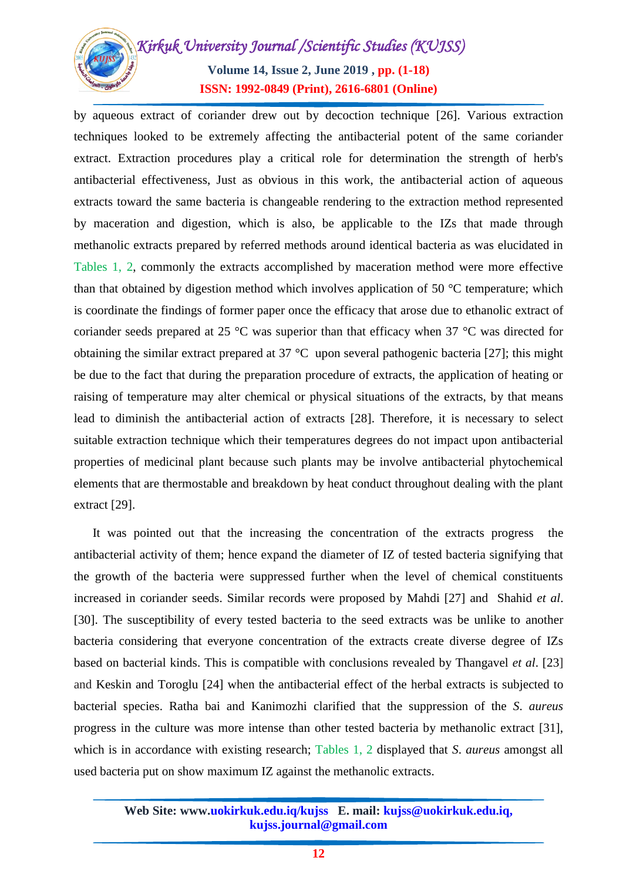

by aqueous extract of coriander drew out by decoction technique [26]. Various extraction techniques looked to be extremely affecting the antibacterial potent of the same coriander extract. Extraction procedures play a critical role for determination the strength of herb's antibacterial effectiveness, Just as obvious in this work, the antibacterial action of aqueous extracts toward the same bacteria is changeable rendering to the extraction method represented by maceration and digestion, which is also, be applicable to the IZs that made through methanolic extracts prepared by referred methods around identical bacteria as was elucidated in Tables 1, 2, commonly the extracts accomplished by maceration method were more effective than that obtained by digestion method which involves application of 50 °C temperature; which is coordinate the findings of former paper once the efficacy that arose due to ethanolic extract of coriander seeds prepared at 25 °C was superior than that efficacy when 37 °C was directed for obtaining the similar extract prepared at 37 °C upon several pathogenic bacteria [27]; this might be due to the fact that during the preparation procedure of extracts, the application of heating or raising of temperature may alter chemical or physical situations of the extracts, by that means lead to diminish the antibacterial action of extracts [28]. Therefore, it is necessary to select suitable extraction technique which their temperatures degrees do not impact upon antibacterial properties of medicinal plant because such plants may be involve antibacterial phytochemical elements that are thermostable and breakdown by heat conduct throughout dealing with the plant extract [29].

It was pointed out that the increasing the concentration of the extracts progress the antibacterial activity of them; hence expand the diameter of IZ of tested bacteria signifying that the growth of the bacteria were suppressed further when the level of chemical constituents increased in coriander seeds. Similar records were proposed by Mahdi [27] and Shahid *et al*. [30]. The susceptibility of every tested bacteria to the seed extracts was be unlike to another bacteria considering that everyone concentration of the extracts create diverse degree of IZs based on bacterial kinds. This is compatible with conclusions revealed by Thangavel *et al*. [23] and Keskin and Toroglu [24] when the antibacterial effect of the herbal extracts is subjected to bacterial species. Ratha bai and Kanimozhi clarified that the suppression of the *S*. *aureus* progress in the culture was more intense than other tested bacteria by methanolic extract [31], which is in accordance with existing research; Tables 1, 2 displayed that *S*. *aureus* amongst all used bacteria put on show maximum IZ against the methanolic extracts.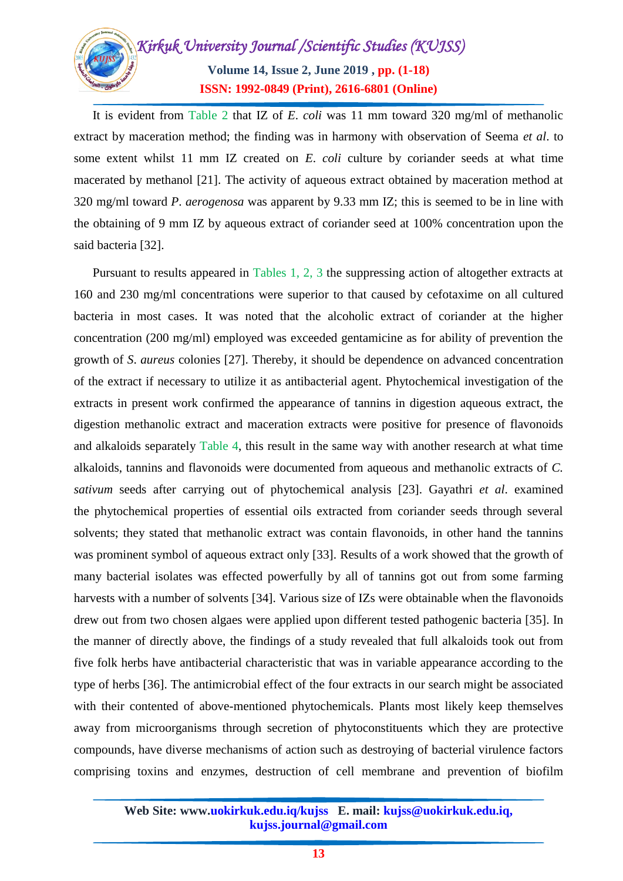

It is evident from Table 2 that IZ of *E*. *coli* was 11 mm toward 320 mg/ml of methanolic extract by maceration method; the finding was in harmony with observation of Seema *et al*. to some extent whilst 11 mm IZ created on *E*. *coli* culture by coriander seeds at what time macerated by methanol [21]. The activity of aqueous extract obtained by maceration method at 320 mg/ml toward *P*. *aerogenosa* was apparent by 9.33 mm IZ; this is seemed to be in line with the obtaining of 9 mm IZ by aqueous extract of coriander seed at 100% concentration upon the said bacteria [32].

Pursuant to results appeared in Tables 1, 2, 3 the suppressing action of altogether extracts at 160 and 230 mg/ml concentrations were superior to that caused by cefotaxime on all cultured bacteria in most cases. It was noted that the alcoholic extract of coriander at the higher concentration (200 mg/ml) employed was exceeded gentamicine as for ability of prevention the growth of *S*. *aureus* colonies [27]. Thereby, it should be dependence on advanced concentration of the extract if necessary to utilize it as antibacterial agent. Phytochemical investigation of the extracts in present work confirmed the appearance of tannins in digestion aqueous extract, the digestion methanolic extract and maceration extracts were positive for presence of flavonoids and alkaloids separately Table 4, this result in the same way with another research at what time alkaloids, tannins and flavonoids were documented from aqueous and methanolic extracts of *C. sativum* seeds after carrying out of phytochemical analysis [23]. Gayathri *et al*. examined the phytochemical properties of essential oils extracted from coriander seeds through several solvents; they stated that methanolic extract was contain flavonoids, in other hand the tannins was prominent symbol of aqueous extract only [33]. Results of a work showed that the growth of many bacterial isolates was effected powerfully by all of tannins got out from some farming harvests with a number of solvents [34]. Various size of IZs were obtainable when the flavonoids drew out from two chosen algaes were applied upon different tested pathogenic bacteria [35]. In the manner of directly above, the findings of a study revealed that full alkaloids took out from five folk herbs have antibacterial characteristic that was in variable appearance according to the type of herbs [36]. The antimicrobial effect of the four extracts in our search might be associated with their contented of above-mentioned phytochemicals. Plants most likely keep themselves away from microorganisms through secretion of phytoconstituents which they are protective compounds, have diverse mechanisms of action such as destroying of bacterial virulence factors comprising toxins and enzymes, destruction of cell membrane and prevention of biofilm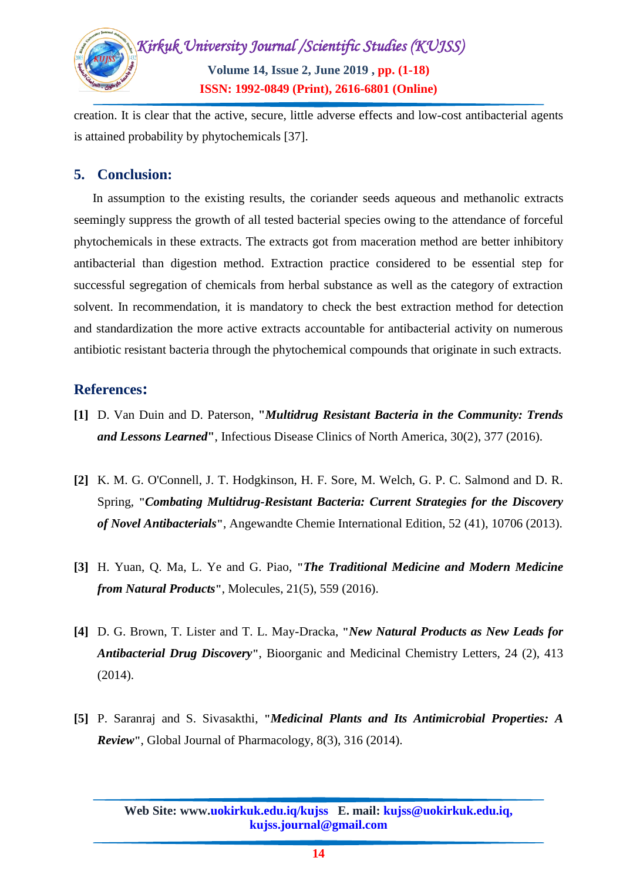

creation. It is clear that the active, secure, little adverse effects and low-cost antibacterial agents is attained probability by phytochemicals [37].

# **5. Conclusion:**

In assumption to the existing results, the coriander seeds aqueous and methanolic extracts seemingly suppress the growth of all tested bacterial species owing to the attendance of forceful phytochemicals in these extracts. The extracts got from maceration method are better inhibitory antibacterial than digestion method. Extraction practice considered to be essential step for successful segregation of chemicals from herbal substance as well as the category of extraction solvent. In recommendation, it is mandatory to check the best extraction method for detection and standardization the more active extracts accountable for antibacterial activity on numerous antibiotic resistant bacteria through the phytochemical compounds that originate in such extracts.

# **References:**

- **[1]** D. Van Duin and D. Paterson, **"***Multidrug Resistant Bacteria in the Community: Trends and Lessons Learned***"**, Infectious Disease Clinics of North America, 30(2), 377 (2016).
- **[2]** K. M. G. O'Connell, J. T. Hodgkinson, H. F. Sore, M. Welch, G. P. C. Salmond and D. R. Spring, **"***Combating Multidrug-Resistant Bacteria: Current Strategies for the Discovery of Novel Antibacterials***"**, Angewandte Chemie International Edition, 52 (41), 10706 (2013).
- **[3]** H. Yuan, Q. Ma, L. Ye and G. Piao, **"***The Traditional Medicine and Modern Medicine from Natural Products***"**, [Molecules,](https://www.ncbi.nlm.nih.gov/pubmed/27136524) 21(5), 559 (2016).
- **[4]** D. G. Brown, T. Lister and T. L. May-Dracka, **"***New Natural Products as New Leads for Antibacterial Drug Discovery***"**, Bioorganic and Medicinal Chemistry Letters, 24 (2), 413 (2014).
- **[5]** P. Saranraj and S. Sivasakthi, **"***Medicinal Plants and Its Antimicrobial Properties: A Review***"**, Global Journal of Pharmacology, 8(3), 316 (2014).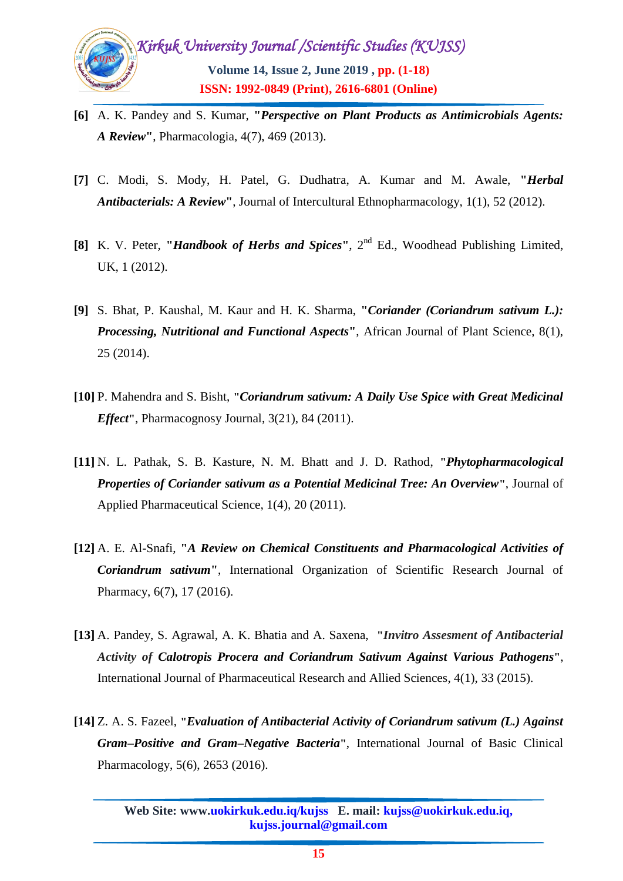

- **[6]** A. K. Pandey and S. Kumar, **"***Perspective on Plant Products as Antimicrobials Agents: A Review***"**, Pharmacologia, 4(7), 469 (2013).
- **[7]** C. Modi, S. Mody, H. Patel, G. Dudhatra, A. Kumar and M. Awale, **"***Herbal Antibacterials: A Review***"**, Journal of Intercultural Ethnopharmacology, 1(1), 52 (2012).
- **[8]** K. V. Peter, **"***Handbook of Herbs and Spices***"**, 2nd Ed., Woodhead Publishing Limited, UK, 1 (2012).
- **[9]** S. Bhat, P. Kaushal, M. Kaur and H. K. Sharma, **"***Coriander (Coriandrum sativum L.): Processing, Nutritional and Functional Aspects***"**, African Journal of Plant Science, 8(1), 25 (2014).
- **[10]** P. Mahendra and S. Bisht, **"***Coriandrum sativum: A Daily Use Spice with Great Medicinal Effect***"**, Pharmacognosy Journal, 3(21), 84 (2011).
- **[11]** N. L. Pathak, S. B. Kasture, N. M. Bhatt and J. D. Rathod, **"***Phytopharmacological Properties of Coriander sativum as a Potential Medicinal Tree: An Overview***"**, Journal of Applied Pharmaceutical Science, 1(4), 20 (2011).
- **[12]** A. E. Al-Snafi, **"***A Review on Chemical Constituents and Pharmacological Activities of Coriandrum sativum***"**, International Organization of Scientific Research Journal of Pharmacy, 6(7), 17 (2016).
- **[13]** A. Pandey, S. Agrawal, A. K. Bhatia and A. Saxena, **"***Invitro Assesment of Antibacterial Activity of Calotropis Procera and Coriandrum Sativum Against Various Pathogens***"**, International Journal of Pharmaceutical Research and Allied Sciences, 4(1), 33 (2015).
- **[14]** Z. A. S. Fazeel, **"***Evaluation of Antibacterial Activity of Coriandrum sativum (L.) Against Gram–Positive and Gram–Negative Bacteria***"**, International Journal of Basic Clinical Pharmacology, 5(6), 2653 (2016).

**Web Site: www.uokirkuk.edu.iq/kujss E. mail: kujss@uokirkuk.edu.iq, kujss.journal@gmail.com**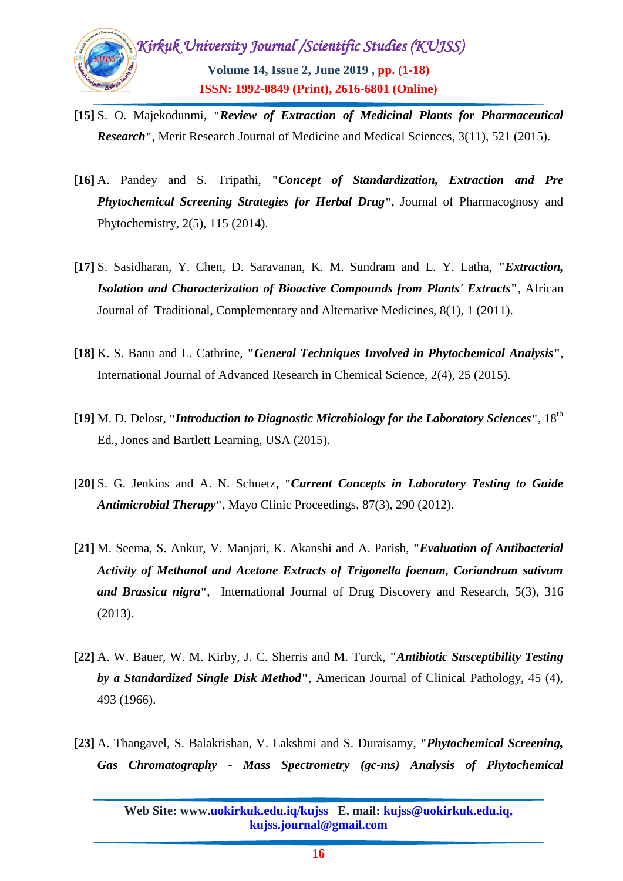

- **[15]** S. O. Majekodunmi, **"***Review of Extraction of Medicinal Plants for Pharmaceutical Research***"**, Merit Research Journal of Medicine and Medical Sciences, 3(11), 521 (2015).
- **[16]** A. Pandey and S. Tripathi, **"***Concept of Standardization, Extraction and Pre Phytochemical Screening Strategies for Herbal Drug***"**, Journal of Pharmacognosy and Phytochemistry, 2(5), 115 (2014).
- **[17]** S. Sasidharan, Y. Chen, D. Saravanan, K. M. Sundram and L. Y. Latha, **"***Extraction, Isolation and Characterization of Bioactive Compounds from Plants' Extracts***"**, African Journal of Traditional, Complementary and Alternative Medicines, 8(1), 1 (2011).
- **[18]** K. S. Banu and L. Cathrine, **"***General Techniques Involved in Phytochemical Analysis***"**, International Journal of Advanced Research in Chemical Science, 2(4), 25 (2015).
- **[19]** M. D. Delost, **"***Introduction to Diagnostic Microbiology for the Laboratory Sciences***"**, 18th Ed., Jones and Bartlett Learning, USA (2015).
- **[20]** S. G. Jenkins and A. N. Schuetz*,* **"***Current Concepts in Laboratory Testing to Guide Antimicrobial Therapy***"**, Mayo Clinic Proceedings, 87(3), 290 (2012).
- **[21]** M. Seema, S. Ankur, V. Manjari, K. Akanshi and A. Parish, **"***Evaluation of Antibacterial Activity of Methanol and Acetone Extracts of Trigonella foenum, Coriandrum sativum and Brassica nigra***"**, International Journal of Drug Discovery and Research, 5(3), 316 (2013).
- **[22]** A. W. Bauer, W. M. Kirby, J. C. Sherris and M. Turck, **"***Antibiotic Susceptibility Testing by a Standardized Single Disk Method***"**, American Journal of Clinical Pathology, 45 (4), 493 (1966).
- **[23]** A. Thangavel, S. Balakrishan, V. Lakshmi and S. Duraisamy, **"***Phytochemical Screening, Gas Chromatography - Mass Spectrometry (gc-ms) Analysis of Phytochemical*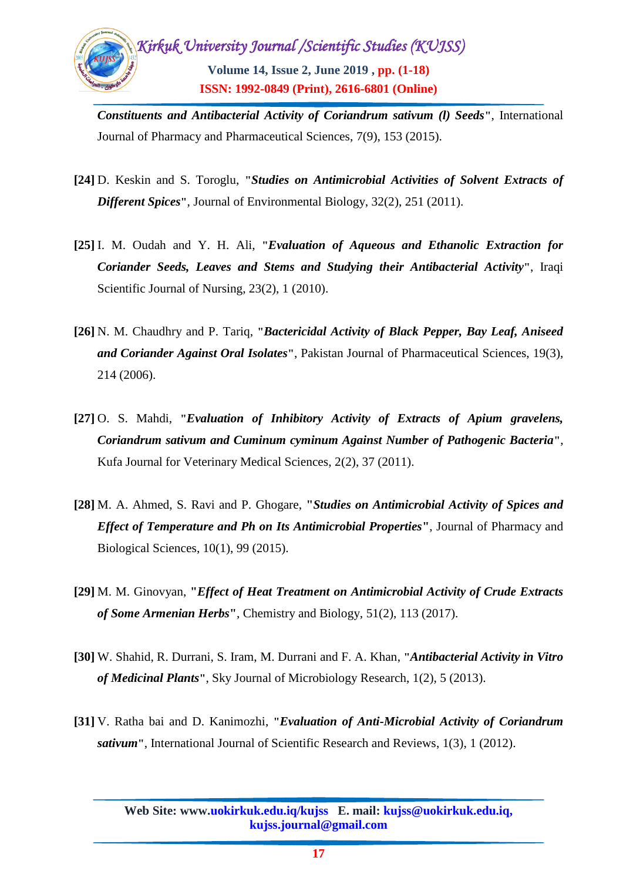

*Constituents and Antibacterial Activity of Coriandrum sativum (l) Seeds***"**, International Journal of Pharmacy and Pharmaceutical Sciences, 7(9), 153 (2015).

- **[24]** D. Keskin and S. Toroglu, **"***Studies on Antimicrobial Activities of Solvent Extracts of Different Spices***"**, Journal of Environmental Biology, 32(2), 251 (2011).
- **[25]** I. M. Oudah and Y. H. Ali, **"***Evaluation of Aqueous and Ethanolic Extraction for Coriander Seeds, Leaves and Stems and Studying their Antibacterial Activity***"**, Iraqi Scientific Journal of Nursing, 23(2), 1 (2010).
- **[26]** N. M. [Chaudhry a](https://www.ncbi.nlm.nih.gov/pubmed/?term=Chaudhry%20NM%5BAuthor%5D&cauthor=true&cauthor_uid=16935829)nd P. [Tariq,](https://www.ncbi.nlm.nih.gov/pubmed/?term=Tariq%20P%5BAuthor%5D&cauthor=true&cauthor_uid=16935829) **"***Bactericidal Activity of Black Pepper, Bay Leaf, Aniseed and Coriander Against Oral Isolates***"**, Pakistan Journal of Pharmaceutical Sciences, 19(3), 214 (2006).
- **[27]** O. S. Mahdi, **"***Evaluation of Inhibitory Activity of Extracts of Apium gravelens, Coriandrum sativum and Cuminum cyminum Against Number of Pathogenic Bacteria***"**, Kufa Journal for Veterinary Medical Sciences, 2(2), 37 (2011).
- **[28]** M. A. Ahmed, S. Ravi and P. Ghogare, **"***Studies on Antimicrobial Activity of Spices and Effect of Temperature and Ph on Its Antimicrobial Properties***"**, Journal of Pharmacy and Biological Sciences, 10(1), 99 (2015).
- **[29]** M. M. Ginovyan, **"***Effect of Heat Treatment on Antimicrobial Activity of Crude Extracts of Some Armenian Herbs***"**, Chemistry and Biology, 51(2), 113 (2017).
- **[30]** W. Shahid, R. Durrani, S. Iram, M. Durrani and F. A. Khan, **"***Antibacterial Activity in Vitro of Medicinal Plants***"**, Sky Journal of Microbiology Research, 1(2), 5 (2013).
- **[31]** V. Ratha bai and D. Kanimozhi, **"***Evaluation of Anti-Microbial Activity of Coriandrum sativum***"**, International Journal of Scientific Research and Reviews, 1(3), 1 (2012).

**Web Site: www.uokirkuk.edu.iq/kujss E. mail: kujss@uokirkuk.edu.iq, kujss.journal@gmail.com**